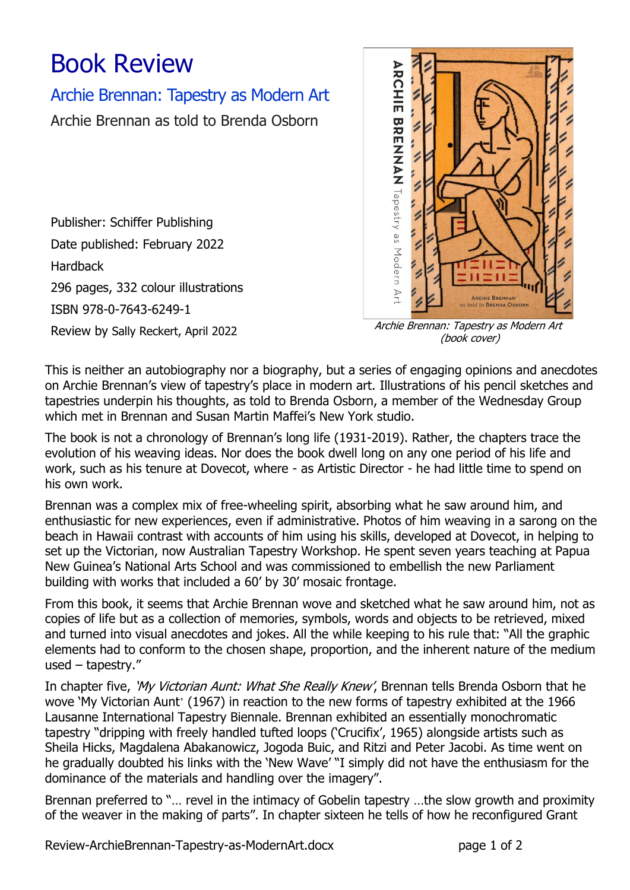## Book Review

## Archie Brennan: Tapestry as Modern Art

Archie Brennan as told to Brenda Osborn

Publisher: Schiffer Publishing Date published: February 2022 Hardback 296 pages, 332 colour illustrations ISBN 978-0-7643-6249-1



Review by Sally Reckert, April 2022 Archie Brennan: Tapestry as Modern Art (book cover)

This is neither an autobiography nor a biography, but a series of engaging opinions and anecdotes on Archie Brennan's view of tapestry's place in modern art. Illustrations of his pencil sketches and tapestries underpin his thoughts, as told to Brenda Osborn, a member of the Wednesday Group which met in Brennan and Susan Martin Maffei's New York studio.

The book is not a chronology of Brennan's long life (1931-2019). Rather, the chapters trace the evolution of his weaving ideas. Nor does the book dwell long on any one period of his life and work, such as his tenure at Dovecot, where - as Artistic Director - he had little time to spend on his own work.

Brennan was a complex mix of free-wheeling spirit, absorbing what he saw around him, and enthusiastic for new experiences, even if administrative. Photos of him weaving in a sarong on the beach in Hawaii contrast with accounts of him using his skills, developed at Dovecot, in helping to set up the Victorian, now Australian Tapestry Workshop. He spent seven years teaching at Papua New Guinea's National Arts School and was commissioned to embellish the new Parliament building with works that included a 60' by 30' mosaic frontage.

From this book, it seems that Archie Brennan wove and sketched what he saw around him, not as copies of life but as a collection of memories, symbols, words and objects to be retrieved, mixed and turned into visual anecdotes and jokes. All the while keeping to his rule that: "All the graphic elements had to conform to the chosen shape, proportion, and the inherent nature of the medium used – tapestry."

In chapter five, 'My Victorian Aunt: What She Really Knew', Brennan tells Brenda Osborn that he wove 'My Victorian Aunt' (1967) in reaction to the new forms of tapestry exhibited at the 1966 Lausanne International Tapestry Biennale. Brennan exhibited an essentially monochromatic tapestry "dripping with freely handled tufted loops ('Crucifix', 1965) alongside artists such as Sheila Hicks, Magdalena Abakanowicz, Jogoda Buic, and Ritzi and Peter Jacobi. As time went on he gradually doubted his links with the 'New Wave' "I simply did not have the enthusiasm for the dominance of the materials and handling over the imagery".

Brennan preferred to "… revel in the intimacy of Gobelin tapestry …the slow growth and proximity of the weaver in the making of parts". In chapter sixteen he tells of how he reconfigured Grant